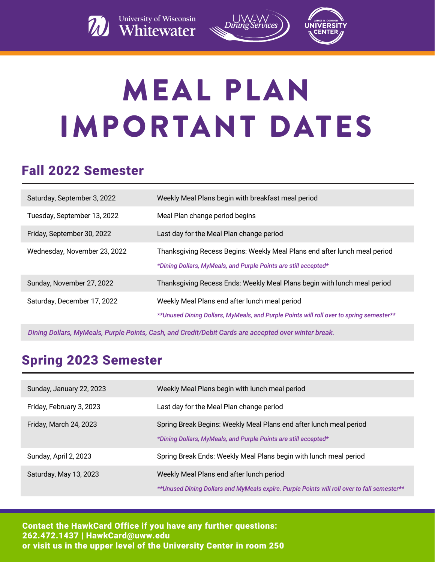



# MEAL PLAN IMPORTANT DATES

#### Fall 2022 Semester

| Saturday, September 3, 2022  | Weekly Meal Plans begin with breakfast meal period                                                                                           |
|------------------------------|----------------------------------------------------------------------------------------------------------------------------------------------|
| Tuesday, September 13, 2022  | Meal Plan change period begins                                                                                                               |
| Friday, September 30, 2022   | Last day for the Meal Plan change period                                                                                                     |
| Wednesday, November 23, 2022 | Thanksgiving Recess Begins: Weekly Meal Plans end after lunch meal period<br>*Dining Dollars, MyMeals, and Purple Points are still accepted* |
| Sunday, November 27, 2022    | Thanksgiving Recess Ends: Weekly Meal Plans begin with lunch meal period                                                                     |
| Saturday, December 17, 2022  | Weekly Meal Plans end after lunch meal period<br>**Unused Dining Dollars, MyMeals, and Purple Points will roll over to spring semester**     |

*Dining Dollars, MyMeals, Purple Points, Cash, and Credit/Debit Cards are accepted over winter break.* 

### Spring 2023 Semester

| Sunday, January 22, 2023 | Weekly Meal Plans begin with lunch meal period                                                                                          |
|--------------------------|-----------------------------------------------------------------------------------------------------------------------------------------|
| Friday, February 3, 2023 | Last day for the Meal Plan change period                                                                                                |
| Friday, March 24, 2023   | Spring Break Begins: Weekly Meal Plans end after lunch meal period<br>*Dining Dollars, MyMeals, and Purple Points are still accepted*   |
| Sunday, April 2, 2023    | Spring Break Ends: Weekly Meal Plans begin with lunch meal period                                                                       |
| Saturday, May 13, 2023   | Weekly Meal Plans end after lunch period<br>**Unused Dining Dollars and MyMeals expire. Purple Points will roll over to fall semester** |

Contact the HawkCard Office if you have any further questions: 262.472.1437 | HawkCard@uww.edu or visit us in the upper level of the University Center in room 250